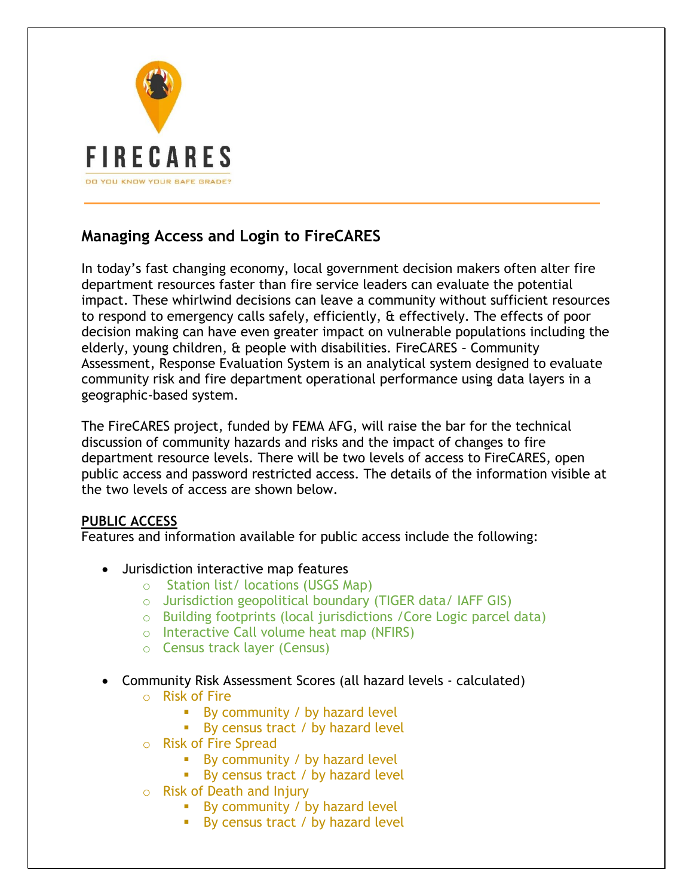

# **Managing Access and Login to FireCARES**

In today's fast changing economy, local government decision makers often alter fire department resources faster than fire service leaders can evaluate the potential impact. These whirlwind decisions can leave a community without sufficient resources to respond to emergency calls safely, efficiently, & effectively. The effects of poor decision making can have even greater impact on vulnerable populations including the elderly, young children, & people with disabilities. FireCARES – Community Assessment, Response Evaluation System is an analytical system designed to evaluate community risk and fire department operational performance using data layers in a geographic-based system.

The FireCARES project, funded by FEMA AFG, will raise the bar for the technical discussion of community hazards and risks and the impact of changes to fire department resource levels. There will be two levels of access to FireCARES, open public access and password restricted access. The details of the information visible at the two levels of access are shown below.

# **PUBLIC ACCESS**

Features and information available for public access include the following:

- Jurisdiction interactive map features
	- o Station list/ locations (USGS Map)
	- o Jurisdiction geopolitical boundary (TIGER data/ IAFF GIS)
	- o Building footprints (local jurisdictions /Core Logic parcel data)
	- o Interactive Call volume heat map (NFIRS)
	- o Census track layer (Census)
- Community Risk Assessment Scores (all hazard levels calculated)
	- o Risk of Fire
		- $\blacksquare$  By community / by hazard level
		- By census tract / by hazard level
	- o Risk of Fire Spread
		- By community / by hazard level
		- By census tract / by hazard level
	- o Risk of Death and Injury
		- By community / by hazard level
		- By census tract / by hazard level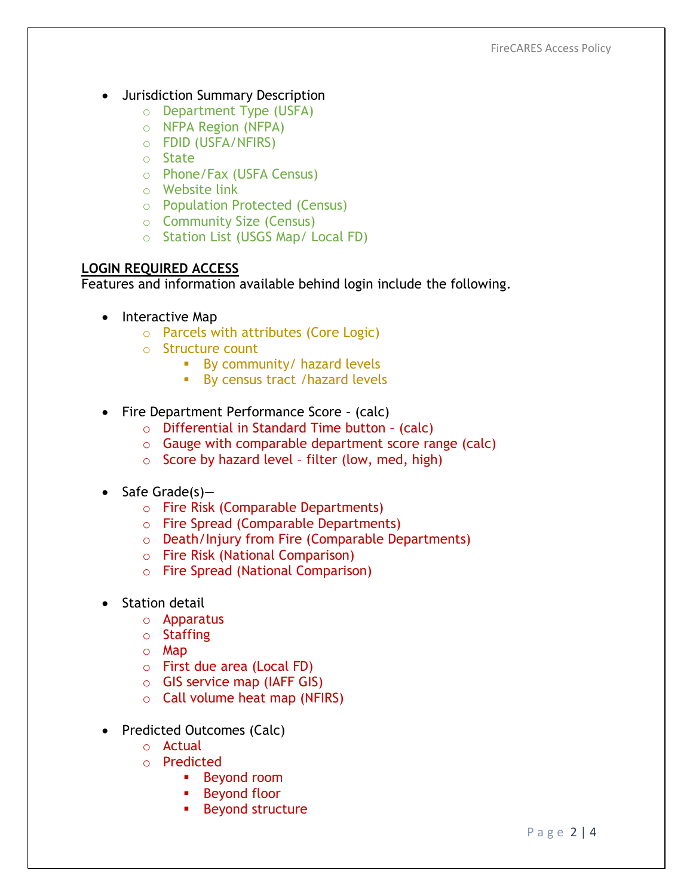- Jurisdiction Summary Description
	- o Department Type (USFA)
	- o NFPA Region (NFPA)
	- o FDID (USFA/NFIRS)
	- o State
	- o Phone/Fax (USFA Census)
	- o Website link
	- o Population Protected (Census)
	- o Community Size (Census)
	- o Station List (USGS Map/ Local FD)

## **LOGIN REQUIRED ACCESS**

Features and information available behind login include the following.

- Interactive Map
	- o Parcels with attributes (Core Logic)
	- o Structure count
		- By community/ hazard levels
		- By census tract /hazard levels
- Fire Department Performance Score (calc)
	- o Differential in Standard Time button (calc)
	- o Gauge with comparable department score range (calc)
	- $\circ$  Score by hazard level filter (low, med, high)
- $\bullet$  Safe Grade(s)
	- o Fire Risk (Comparable Departments)
	- o Fire Spread (Comparable Departments)
	- o Death/Injury from Fire (Comparable Departments)
	- o Fire Risk (National Comparison)
	- o Fire Spread (National Comparison)
- Station detail
	- o Apparatus
	- o Staffing
	- o Map
	- o First due area (Local FD)
	- o GIS service map (IAFF GIS)
	- $\circ$  Call volume heat map (NFIRS)
- Predicted Outcomes (Calc)
	- o Actual
	- o Predicted
		- **Beyond room**
		- **Beyond floor**
		- Beyond structure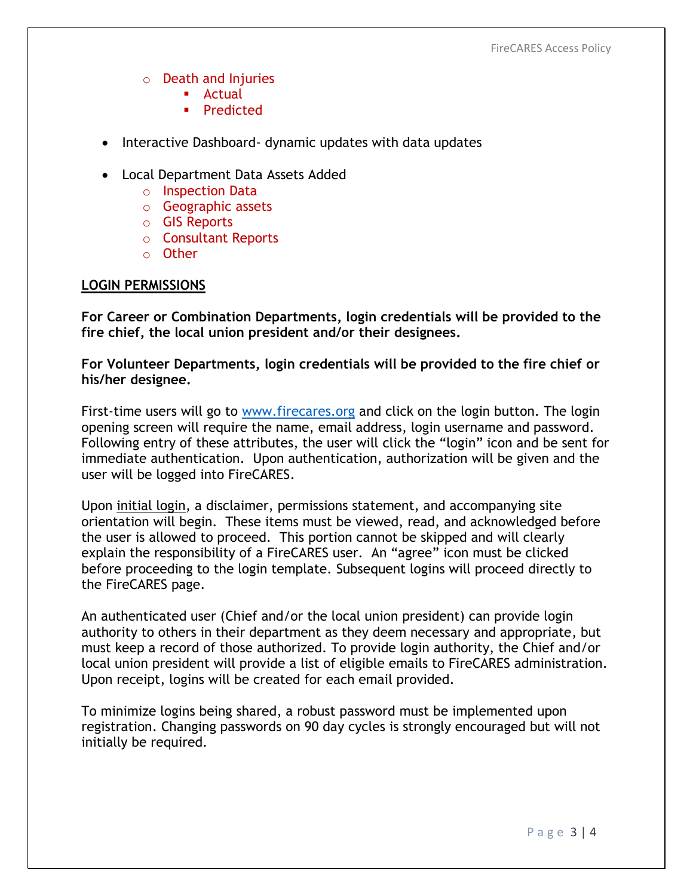- o Death and Injuries
	- **Actual**
	- Predicted
- Interactive Dashboard- dynamic updates with data updates
- Local Department Data Assets Added
	- o Inspection Data
	- o Geographic assets
	- o GIS Reports
	- o Consultant Reports
	- o Other

### **LOGIN PERMISSIONS**

**For Career or Combination Departments, login credentials will be provided to the fire chief, the local union president and/or their designees.**

**For Volunteer Departments, login credentials will be provided to the fire chief or his/her designee.**

First-time users will go to [www.firecares.org](http://www.firecares.org/) and click on the login button. The login opening screen will require the name, email address, login username and password. Following entry of these attributes, the user will click the "login" icon and be sent for immediate authentication. Upon authentication, authorization will be given and the user will be logged into FireCARES.

Upon initial login, a disclaimer, permissions statement, and accompanying site orientation will begin. These items must be viewed, read, and acknowledged before the user is allowed to proceed. This portion cannot be skipped and will clearly explain the responsibility of a FireCARES user. An "agree" icon must be clicked before proceeding to the login template. Subsequent logins will proceed directly to the FireCARES page.

An authenticated user (Chief and/or the local union president) can provide login authority to others in their department as they deem necessary and appropriate, but must keep a record of those authorized. To provide login authority, the Chief and/or local union president will provide a list of eligible emails to FireCARES administration. Upon receipt, logins will be created for each email provided.

To minimize logins being shared, a robust password must be implemented upon registration. Changing passwords on 90 day cycles is strongly encouraged but will not initially be required.